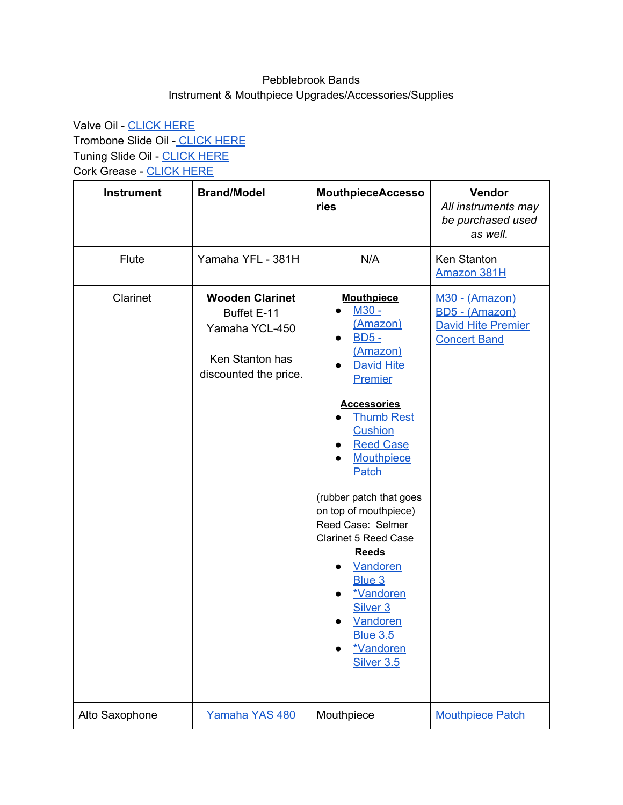## Pebblebrook Bands Instrument & Mouthpiece Upgrades/Accessories/Supplies

Valve Oil - [CLICK](https://www.amazon.com/Al-Cass-Valve-Oil-fluid/dp/B002LI4Y92/ref=sr_1_4?dchild=1&keywords=valve+oil&qid=1598014150&sr=8-4) HERE Trombone Slide Oil - [CLICK](https://www.amazon.com/Selmer-337RC-Comfort-Trombone-Lubricant/dp/B0002GFQ2O/ref=sr_1_5?dchild=1&keywords=trombone+slide+oil&qid=1598014254&sr=8-5) HERE Tuning Slide Oil - [CLICK](https://www.amazon.com/Bach-2942-Tuning-Slide-Grease/dp/B00LFWM0H8/ref=sr_1_3?dchild=1&keywords=tuning+slide+oil&qid=1598016040&sr=8-3) HERE Cork Grease - [CLICK](https://www.amazon.com/Rico-DCRKGR01-DAddario-All-Natural-Grease/dp/B00YJJ0JNG/ref=sr_1_3?crid=I9GHZX3B531K&dchild=1&keywords=cork+grease+for+clarinet&qid=1598016148&sprefix=CORK+GREASE%2Caps%2C160&sr=8-3) HERE

| <b>Instrument</b> | <b>Brand/Model</b>                                                                                  | <b>MouthpieceAccesso</b><br>ries                                                                                                                                                                                                                                                                                                                                                                                                                                                          | Vendor<br>All instruments may<br>be purchased used<br>as well.                       |
|-------------------|-----------------------------------------------------------------------------------------------------|-------------------------------------------------------------------------------------------------------------------------------------------------------------------------------------------------------------------------------------------------------------------------------------------------------------------------------------------------------------------------------------------------------------------------------------------------------------------------------------------|--------------------------------------------------------------------------------------|
| Flute             | Yamaha YFL - 381H                                                                                   | N/A                                                                                                                                                                                                                                                                                                                                                                                                                                                                                       | Ken Stanton<br>Amazon 381H                                                           |
| Clarinet          | <b>Wooden Clarinet</b><br>Buffet E-11<br>Yamaha YCL-450<br>Ken Stanton has<br>discounted the price. | <b>Mouthpiece</b><br>M30 -<br>(Amazon)<br>$BD5 -$<br>$\bullet$<br>(Amazon)<br><b>David Hite</b><br><b>Premier</b><br><b>Accessories</b><br><b>Thumb Rest</b><br><b>Cushion</b><br><b>Reed Case</b><br>$\bullet$<br><b>Mouthpiece</b><br>Patch<br>(rubber patch that goes<br>on top of mouthpiece)<br>Reed Case: Selmer<br><b>Clarinet 5 Reed Case</b><br><b>Reeds</b><br>Vandoren<br>Blue 3<br>*Vandoren<br>Silver <sub>3</sub><br>Vandoren<br><b>Blue 3.5</b><br>*Vandoren<br>Silver 3.5 | M30 - (Amazon)<br>BD5 - (Amazon)<br><b>David Hite Premier</b><br><b>Concert Band</b> |
| Alto Saxophone    | Yamaha YAS 480                                                                                      | Mouthpiece                                                                                                                                                                                                                                                                                                                                                                                                                                                                                | <b>Mouthpiece Patch</b>                                                              |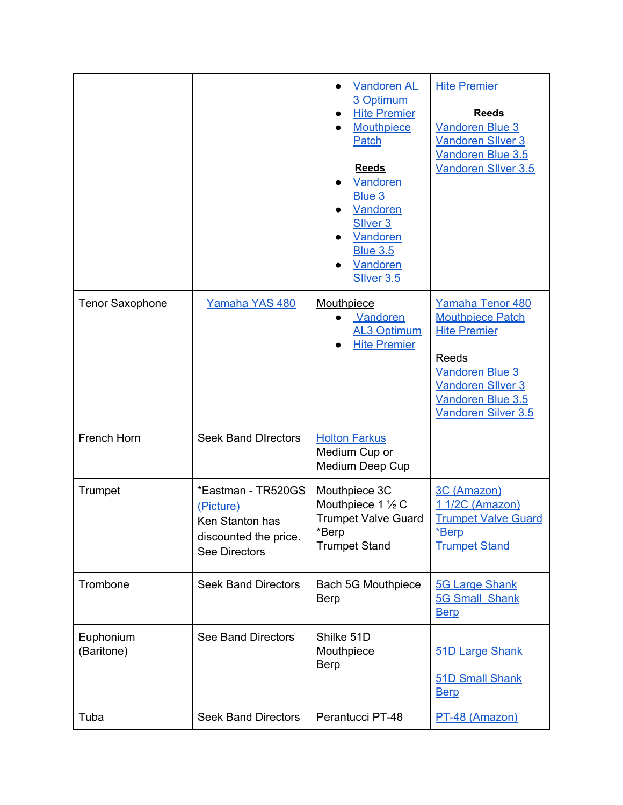|                         |                                                                                                     | <b>Vandoren AL</b><br>3 Optimum<br><b>Hite Premier</b><br>Mouthpiece<br>Patch<br><b>Reeds</b><br>Vandoren<br>Blue 3<br>Vandoren<br>Sliver <sub>3</sub><br>Vandoren<br><b>Blue 3.5</b><br>Vandoren<br><b>SIIver 3.5</b> | <b>Hite Premier</b><br><b>Reeds</b><br><b>Vandoren Blue 3</b><br><b>Vandoren Sliver 3</b><br>Vandoren Blue 3.5<br>Vandoren Sllver 3.5                                         |
|-------------------------|-----------------------------------------------------------------------------------------------------|------------------------------------------------------------------------------------------------------------------------------------------------------------------------------------------------------------------------|-------------------------------------------------------------------------------------------------------------------------------------------------------------------------------|
| <b>Tenor Saxophone</b>  | Yamaha YAS 480                                                                                      | Mouthpiece<br>Vandoren<br><b>AL3 Optimum</b><br><b>Hite Premier</b>                                                                                                                                                    | Yamaha Tenor 480<br><b>Mouthpiece Patch</b><br><b>Hite Premier</b><br>Reeds<br><b>Vandoren Blue 3</b><br><b>Vandoren Sliver 3</b><br>Vandoren Blue 3.5<br>Vandoren Silver 3.5 |
| French Horn             | <b>Seek Band Directors</b>                                                                          | <b>Holton Farkus</b><br>Medium Cup or<br>Medium Deep Cup                                                                                                                                                               |                                                                                                                                                                               |
| Trumpet                 | *Eastman - TR520GS<br>(Picture)<br>Ken Stanton has<br>discounted the price.<br><b>See Directors</b> | Mouthpiece 3C<br>Mouthpiece 1 1/2 C<br><b>Trumpet Valve Guard</b><br>*Berp<br><b>Trumpet Stand</b>                                                                                                                     | 3C (Amazon)<br>1 1/2C (Amazon)<br><b>Trumpet Valve Guard</b><br>*Berp<br><b>Trumpet Stand</b>                                                                                 |
| Trombone                | <b>Seek Band Directors</b>                                                                          | Bach 5G Mouthpiece<br><b>Berp</b>                                                                                                                                                                                      | <b>5G Large Shank</b><br><b>5G Small Shank</b><br><b>Berp</b>                                                                                                                 |
| Euphonium<br>(Baritone) | <b>See Band Directors</b>                                                                           | Shilke 51D<br>Mouthpiece<br><b>Berp</b>                                                                                                                                                                                | 51D Large Shank<br>51D Small Shank<br><b>Berp</b>                                                                                                                             |
| Tuba                    | <b>Seek Band Directors</b>                                                                          | Perantucci PT-48                                                                                                                                                                                                       | PT-48 (Amazon)                                                                                                                                                                |